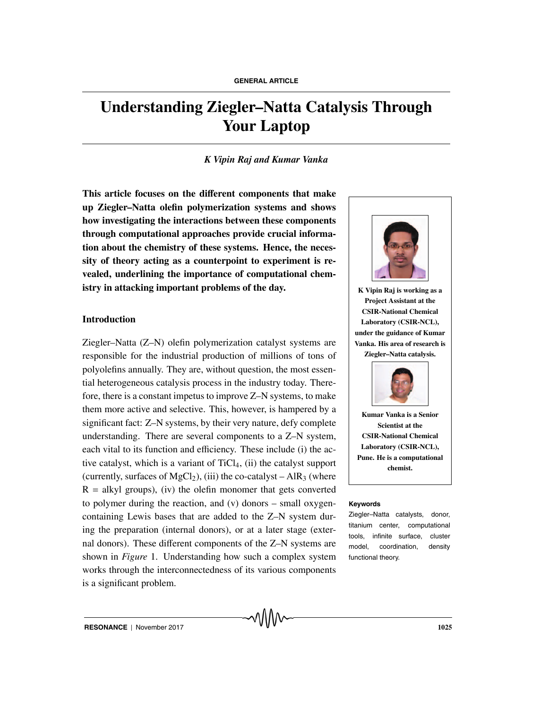# **Understanding Ziegler–Natta Catalysis Through Your Laptop**

### *K Vipin Raj and Kumar Vanka*

**This article focuses on the di**ff**erent components that make up Ziegler–Natta olefin polymerization systems and shows how investigating the interactions between these components through computational approaches provide crucial information about the chemistry of these systems. Hence, the necessity of theory acting as a counterpoint to experiment is revealed, underlining the importance of computational chemistry in attacking important problems of the day.**

#### **Introduction**

Ziegler–Natta (Z–N) olefin polymerization catalyst systems are responsible for the industrial production of millions of tons of polyolefins annually. They are, without question, the most essential heterogeneous catalysis process in the industry today. Therefore, there is a constant impetus to improve Z–N systems, to make them more active and selective. This, however, is hampered by a significant fact: Z–N systems, by their very nature, defy complete understanding. There are several components to a Z–N system, each vital to its function and efficiency. These include (i) the active catalyst, which is a variant of  $TiCl<sub>4</sub>$ , (ii) the catalyst support (currently, surfaces of MgCl<sub>2</sub>), (iii) the co-catalyst – AlR<sub>3</sub> (where  $R = alkyl$  groups), (iv) the olefin monomer that gets converted to polymer during the reaction, and (v) donors – small oxygen- **Keywords** containing Lewis bases that are added to the Z–N system during the preparation (internal donors), or at a later stage (external donors). These different components of the Z–N systems are shown in *Figure* 1. Understanding how such a complex system works through the interconnectedness of its various components is a significant problem.



**K Vipin Raj is working as a Project Assistant at the CSIR-National Chemical Laboratory (CSIR-NCL), under the guidance of Kumar Vanka. His area of research is Ziegler–Natta catalysis.**



**Kumar Vanka is a Senior Scientist at the CSIR-National Chemical Laboratory (CSIR-NCL), Pune. He is a computational chemist.**

Ziegler–Natta catalysts, donor, titanium center, computational tools, infinite surface, cluster model, coordination, density functional theory.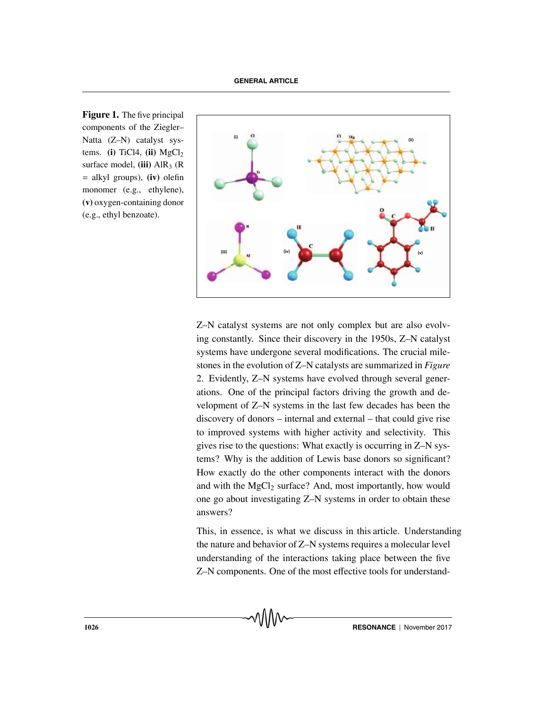**Figure 1.** The five principal components of the Ziegler– Natta (Z–N) catalyst systems. **(i)** TiCl4, **(ii)**  $MgCl<sub>2</sub>$ surface model, **(iii)** AlR<sub>3</sub> (R) = alkyl groups), **(iv)** olefin monomer (e.g., ethylene), **(v)** oxygen-containing donor (e.g., ethyl benzoate).



Z–N catalyst systems are not only complex but are also evolving constantly. Since their discovery in the 1950s, Z–N catalyst systems have undergone several modifications. The crucial milestones in the evolution of Z–N catalysts are summarized in *Figure* 2. Evidently, Z–N systems have evolved through several generations. One of the principal factors driving the growth and development of Z–N systems in the last few decades has been the discovery of donors – internal and external – that could give rise to improved systems with higher activity and selectivity. This gives rise to the questions: What exactly is occurring in Z–N systems? Why is the addition of Lewis base donors so significant? How exactly do the other components interact with the donors and with the  $MgCl<sub>2</sub>$  surface? And, most importantly, how would one go about investigating Z–N systems in order to obtain these answers?

This, in essence, is what we discuss in this article. Understanding the nature and behavior of Z–N systems requires a molecular level understanding of the interactions taking place between the five Z–N components. One of the most effective tools for understand-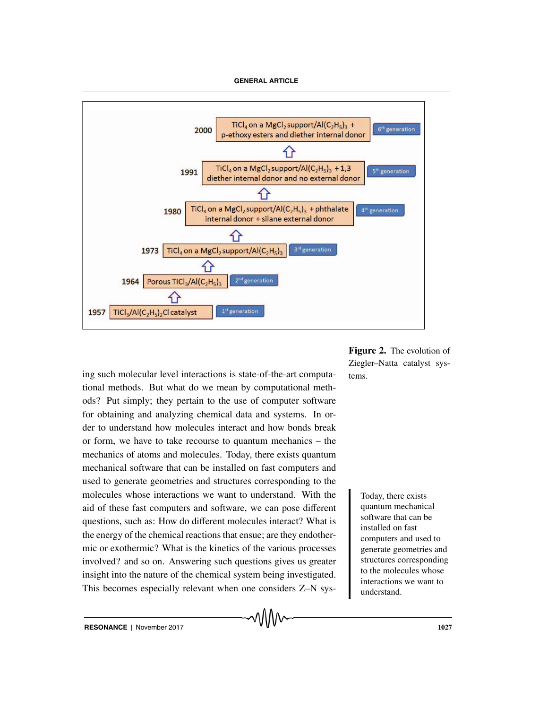

ing such molecular level interactions is state-of-the-art computa- tems. tional methods. But what do we mean by computational methods? Put simply; they pertain to the use of computer software for obtaining and analyzing chemical data and systems. In order to understand how molecules interact and how bonds break or form, we have to take recourse to quantum mechanics – the mechanics of atoms and molecules. Today, there exists quantum mechanical software that can be installed on fast computers and used to generate geometries and structures corresponding to the molecules whose interactions we want to understand. With the Today, there exists aid of these fast computers and software, we can pose different questions, such as: How do different molecules interact? What is the energy of the chemical reactions that ensue; are they endothermic or exothermic? What is the kinetics of the various processes involved? and so on. Answering such questions gives us greater insight into the nature of the chemical system being investigated. This becomes especially relevant when one considers Z–N sys-

**Figure 2.** The evolution of Ziegler–Natta catalyst sys-

> quantum mechanical software that can be installed on fast computers and used to generate geometries and structures corresponding to the molecules whose interactions we want to understand.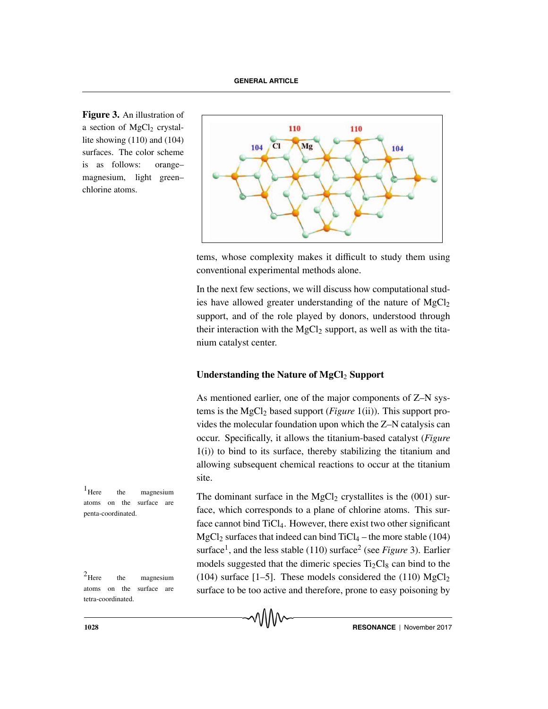**Figure 3.** An illustration of a section of  $MgCl<sub>2</sub>$  crystallite showing (110) and (104) surfaces. The color scheme is as follows: orange– magnesium, light green– chlorine atoms.



tems, whose complexity makes it difficult to study them using conventional experimental methods alone.

In the next few sections, we will discuss how computational studies have allowed greater understanding of the nature of  $MgCl<sub>2</sub>$ support, and of the role played by donors, understood through their interaction with the MgCl<sub>2</sub> support, as well as with the titanium catalyst center.

# **Understanding the Nature of MgCl<sub>2</sub> Support**

As mentioned earlier, one of the major components of Z–N systems is the MgCl2 based support (*Figure* 1(ii)). This support provides the molecular foundation upon which the Z–N catalysis can occur. Specifically, it allows the titanium-based catalyst (*Figure* 1(i)) to bind to its surface, thereby stabilizing the titanium and allowing subsequent chemical reactions to occur at the titanium site.

The dominant surface in the  $MgCl<sub>2</sub>$  crystallites is the (001) surface, which corresponds to a plane of chlorine atoms. This surface cannot bind TiCl4. However, there exist two other significant MgCl<sub>2</sub> surfaces that indeed can bind  $TiCl_4$  – the more stable (104) surface<sup>1</sup>, and the less stable (110) surface<sup>2</sup> (see *Figure* 3). Earlier models suggested that the dimeric species  $Ti<sub>2</sub>Cl<sub>8</sub>$  can bind to the <sup>2</sup>Here the magnesium (104) surface [1–5]. These models considered the (110)  $MgCl_2$ surface to be too active and therefore, prone to easy poisoning by

 $<sup>1</sup>$  Here the magnesium</sup> atoms on the surface are penta-coordinated.

atoms on the surface are tetra-coordinated.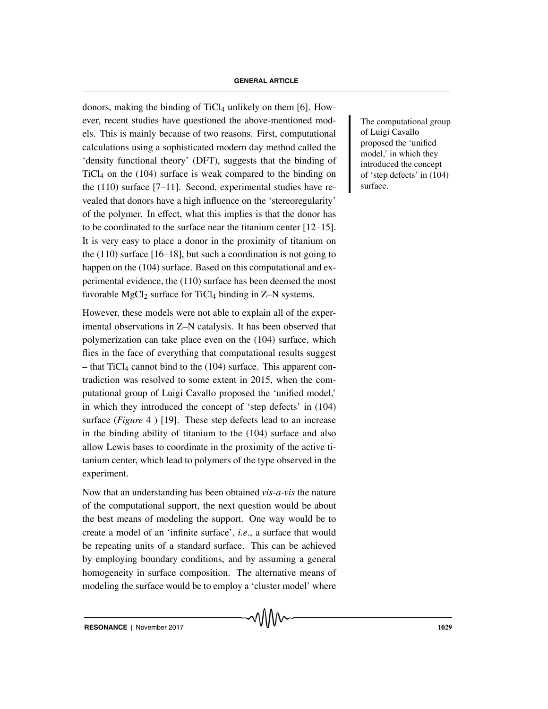donors, making the binding of  $TiCl<sub>4</sub>$  unlikely on them [6]. However, recent studies have questioned the above-mentioned mod-<br>
The computational group els. This is mainly because of two reasons. First, computational calculations using a sophisticated modern day method called the 'density functional theory' (DFT), suggests that the binding of  $TiCl<sub>4</sub>$  on the (104) surface is weak compared to the binding on the (110) surface [7–11]. Second, experimental studies have revealed that donors have a high influence on the 'stereoregularity' of the polymer. In effect, what this implies is that the donor has to be coordinated to the surface near the titanium center [12–15]. It is very easy to place a donor in the proximity of titanium on the  $(110)$  surface  $[16–18]$ , but such a coordination is not going to happen on the (104) surface. Based on this computational and experimental evidence, the (110) surface has been deemed the most favorable MgCl<sub>2</sub> surface for TiCl<sub>4</sub> binding in Z–N systems.

However, these models were not able to explain all of the experimental observations in Z–N catalysis. It has been observed that polymerization can take place even on the (104) surface, which flies in the face of everything that computational results suggest  $-$  that TiCl<sub>4</sub> cannot bind to the (104) surface. This apparent contradiction was resolved to some extent in 2015, when the computational group of Luigi Cavallo proposed the 'unified model,' in which they introduced the concept of 'step defects' in (104) surface (*Figure* 4 ) [19]. These step defects lead to an increase in the binding ability of titanium to the (104) surface and also allow Lewis bases to coordinate in the proximity of the active titanium center, which lead to polymers of the type observed in the experiment.

Now that an understanding has been obtained *vis-a-vis* the nature of the computational support, the next question would be about the best means of modeling the support. One way would be to create a model of an 'infinite surface', *i.e*., a surface that would be repeating units of a standard surface. This can be achieved by employing boundary conditions, and by assuming a general homogeneity in surface composition. The alternative means of modeling the surface would be to employ a 'cluster model' where

of Luigi Cavallo proposed the 'unified model,' in which they introduced the concept of 'step defects' in (104) surface.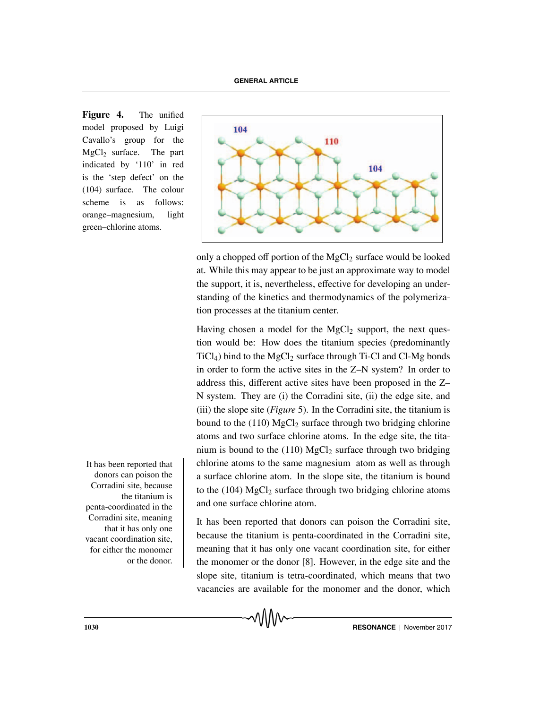**Figure 4.** The unified model proposed by Luigi Cavallo's group for the  $MgCl<sub>2</sub>$  surface. The part indicated by '110' in red is the 'step defect' on the (104) surface. The colour scheme is as follows: orange–magnesium, light green–chlorine atoms.



only a chopped off portion of the MgCl<sub>2</sub> surface would be looked at. While this may appear to be just an approximate way to model the support, it is, nevertheless, effective for developing an understanding of the kinetics and thermodynamics of the polymerization processes at the titanium center.

Having chosen a model for the  $MgCl<sub>2</sub>$  support, the next question would be: How does the titanium species (predominantly  $TiCl<sub>4</sub>$ ) bind to the MgCl<sub>2</sub> surface through Ti-Cl and Cl-Mg bonds in order to form the active sites in the Z–N system? In order to address this, different active sites have been proposed in the Z– N system. They are (i) the Corradini site, (ii) the edge site, and (iii) the slope site (*Figure* 5). In the Corradini site, the titanium is bound to the  $(110)$  MgCl<sub>2</sub> surface through two bridging chlorine atoms and two surface chlorine atoms. In the edge site, the titanium is bound to the  $(110)$  MgCl<sub>2</sub> surface through two bridging It has been reported that chlorine atoms to the same magnesium atom as well as through a surface chlorine atom. In the slope site, the titanium is bound to the  $(104)$  MgCl<sub>2</sub> surface through two bridging chlorine atoms and one surface chlorine atom.

> It has been reported that donors can poison the Corradini site, because the titanium is penta-coordinated in the Corradini site, meaning that it has only one vacant coordination site, for either the monomer or the donor [8]. However, in the edge site and the slope site, titanium is tetra-coordinated, which means that two vacancies are available for the monomer and the donor, which

donors can poison the Corradini site, because the titanium is penta-coordinated in the Corradini site, meaning that it has only one vacant coordination site, for either the monomer or the donor.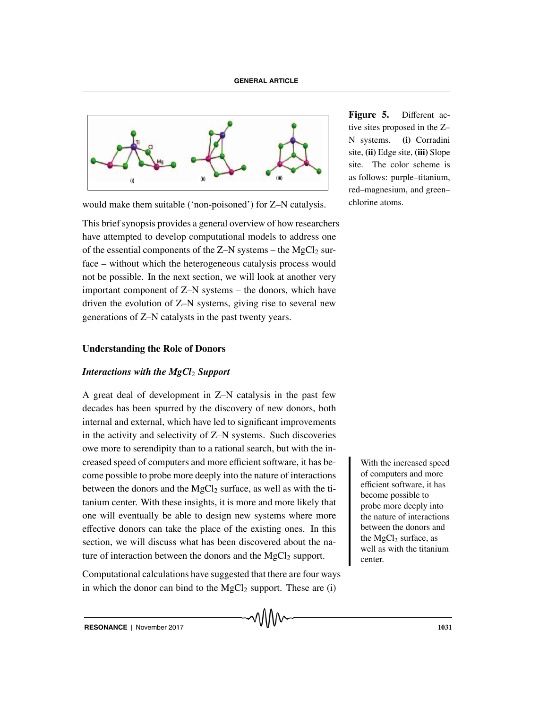

would make them suitable ('non-poisoned') for Z–N catalysis.

This brief synopsis provides a general overview of how researchers have attempted to develop computational models to address one of the essential components of the  $Z-N$  systems – the MgCl<sub>2</sub> surface – without which the heterogeneous catalysis process would not be possible. In the next section, we will look at another very important component of Z–N systems – the donors, which have driven the evolution of Z–N systems, giving rise to several new generations of Z–N catalysts in the past twenty years.

#### **Understanding the Role of Donors**

# *Interactions with the MgCl<sub>2</sub> Support*

A great deal of development in Z–N catalysis in the past few decades has been spurred by the discovery of new donors, both internal and external, which have led to significant improvements in the activity and selectivity of Z–N systems. Such discoveries owe more to serendipity than to a rational search, but with the increased speed of computers and more efficient software, it has be-<br>With the increased speed come possible to probe more deeply into the nature of interactions between the donors and the  $MgCl<sub>2</sub>$  surface, as well as with the titanium center. With these insights, it is more and more likely that one will eventually be able to design new systems where more effective donors can take the place of the existing ones. In this section, we will discuss what has been discovered about the nature of interaction between the donors and the  $MgCl<sub>2</sub>$  support.

Computational calculations have suggested that there are four ways in which the donor can bind to the  $MgCl<sub>2</sub>$  support. These are (i)

**Figure 5.** Different active sites proposed in the Z– N systems. **(i)** Corradini site, **(ii)** Edge site, **(iii)** Slope site. The color scheme is as follows: purple–titanium, red–magnesium, and green– chlorine atoms.

> of computers and more efficient software, it has become possible to probe more deeply into the nature of interactions between the donors and the MgCl<sub>2</sub> surface, as well as with the titanium center.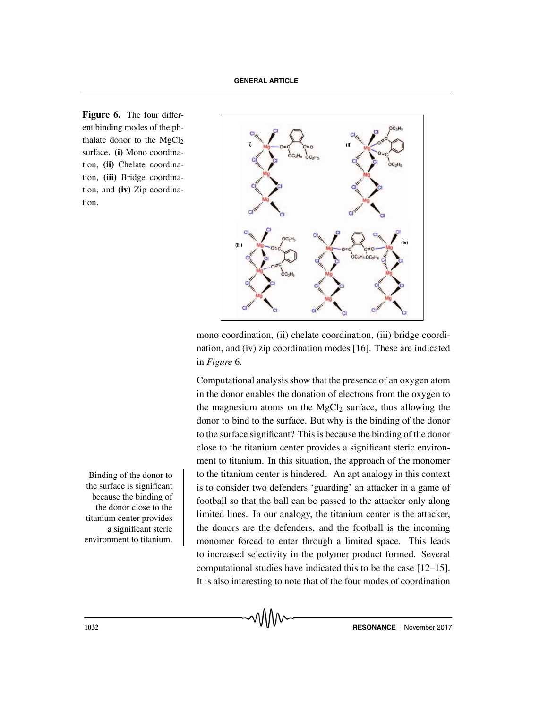**Figure 6.** The four different binding modes of the phthalate donor to the  $MgCl<sub>2</sub>$ surface. **(i)** Mono coordination, **(ii)** Chelate coordination, **(iii)** Bridge coordination, and **(iv)** Zip coordination.

the surface is significant because the binding of the donor close to the titanium center provides a significant steric environment to titanium.



mono coordination, (ii) chelate coordination, (iii) bridge coordination, and (iv) zip coordination modes [16]. These are indicated in *Figure* 6.

Computational analysis show that the presence of an oxygen atom in the donor enables the donation of electrons from the oxygen to the magnesium atoms on the  $MgCl<sub>2</sub>$  surface, thus allowing the donor to bind to the surface. But why is the binding of the donor to the surface significant? This is because the binding of the donor close to the titanium center provides a significant steric environment to titanium. In this situation, the approach of the monomer Binding of the donor to the titanium center is hindered. An apt analogy in this context is to consider two defenders 'guarding' an attacker in a game of football so that the ball can be passed to the attacker only along limited lines. In our analogy, the titanium center is the attacker, the donors are the defenders, and the football is the incoming monomer forced to enter through a limited space. This leads to increased selectivity in the polymer product formed. Several computational studies have indicated this to be the case [12–15]. It is also interesting to note that of the four modes of coordination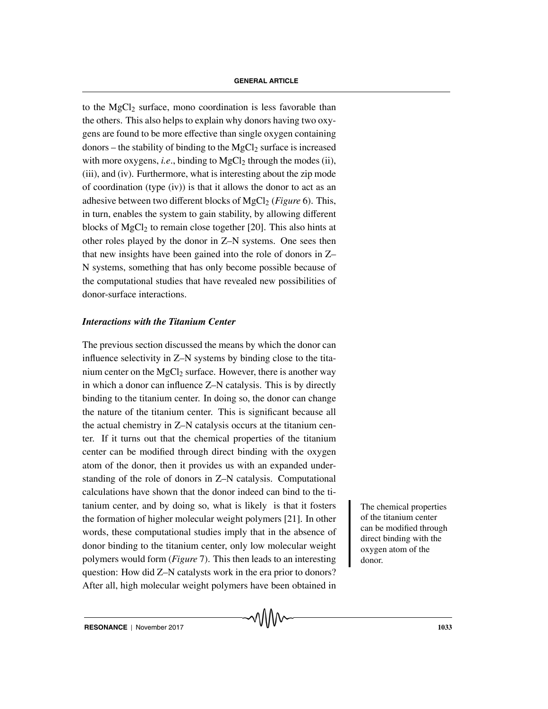to the MgCl<sub>2</sub> surface, mono coordination is less favorable than the others. This also helps to explain why donors having two oxygens are found to be more effective than single oxygen containing donors – the stability of binding to the  $MgCl<sub>2</sub>$  surface is increased with more oxygens, *i.e.*, binding to  $MgCl<sub>2</sub>$  through the modes (ii), (iii), and (iv). Furthermore, what is interesting about the zip mode of coordination (type (iv)) is that it allows the donor to act as an adhesive between two different blocks of MgCl<sub>2</sub> (*Figure* 6). This, in turn, enables the system to gain stability, by allowing different blocks of MgCl<sub>2</sub> to remain close together [20]. This also hints at other roles played by the donor in Z–N systems. One sees then that new insights have been gained into the role of donors in Z– N systems, something that has only become possible because of the computational studies that have revealed new possibilities of donor-surface interactions.

# *Interactions with the Titanium Center*

The previous section discussed the means by which the donor can influence selectivity in Z–N systems by binding close to the titanium center on the  $MgCl<sub>2</sub>$  surface. However, there is another way in which a donor can influence Z–N catalysis. This is by directly binding to the titanium center. In doing so, the donor can change the nature of the titanium center. This is significant because all the actual chemistry in Z–N catalysis occurs at the titanium center. If it turns out that the chemical properties of the titanium center can be modified through direct binding with the oxygen atom of the donor, then it provides us with an expanded understanding of the role of donors in Z–N catalysis. Computational calculations have shown that the donor indeed can bind to the ti $t$ anium center, and by doing so, what is likely is that it fosters  $\blacksquare$  The chemical properties the formation of higher molecular weight polymers [21]. In other words, these computational studies imply that in the absence of donor binding to the titanium center, only low molecular weight polymers would form (*Figure* 7). This then leads to an interesting question: How did Z–N catalysts work in the era prior to donors? After all, high molecular weight polymers have been obtained in

of the titanium center can be modified through direct binding with the oxygen atom of the donor.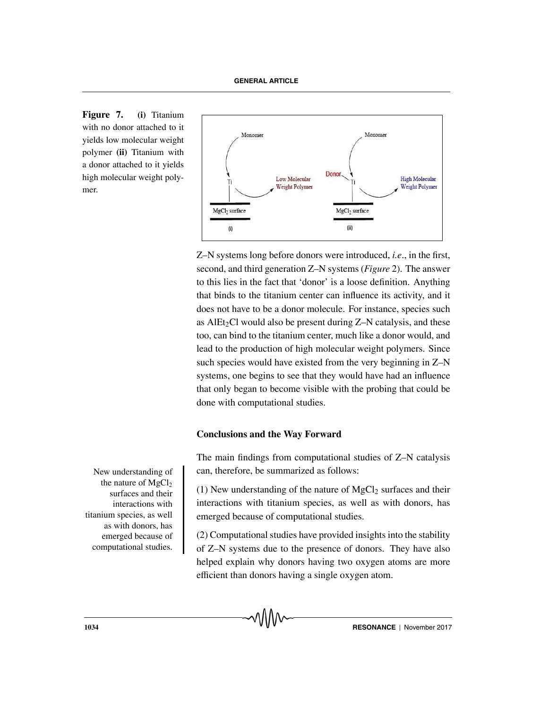**Figure 7. (i)** Titanium with no donor attached to it yields low molecular weight polymer **(ii)** Titanium with a donor attached to it yields high molecular weight polymer.



Z–N systems long before donors were introduced, *i.e*., in the first, second, and third generation Z–N systems (*Figure* 2). The answer to this lies in the fact that 'donor' is a loose definition. Anything that binds to the titanium center can influence its activity, and it does not have to be a donor molecule. For instance, species such as AlEt<sub>2</sub>Cl would also be present during  $Z-N$  catalysis, and these too, can bind to the titanium center, much like a donor would, and lead to the production of high molecular weight polymers. Since such species would have existed from the very beginning in Z–N systems, one begins to see that they would have had an influence that only began to become visible with the probing that could be done with computational studies.

# **Conclusions and the Way Forward**

The main findings from computational studies of Z–N catalysis New understanding of  $\parallel$  can, therefore, be summarized as follows:

> (1) New understanding of the nature of  $MgCl<sub>2</sub>$  surfaces and their interactions with titanium species, as well as with donors, has emerged because of computational studies.

> (2) Computational studies have provided insights into the stability of Z–N systems due to the presence of donors. They have also helped explain why donors having two oxygen atoms are more efficient than donors having a single oxygen atom.

the nature of  $MgCl<sub>2</sub>$ surfaces and their interactions with titanium species, as well as with donors, has emerged because of computational studies.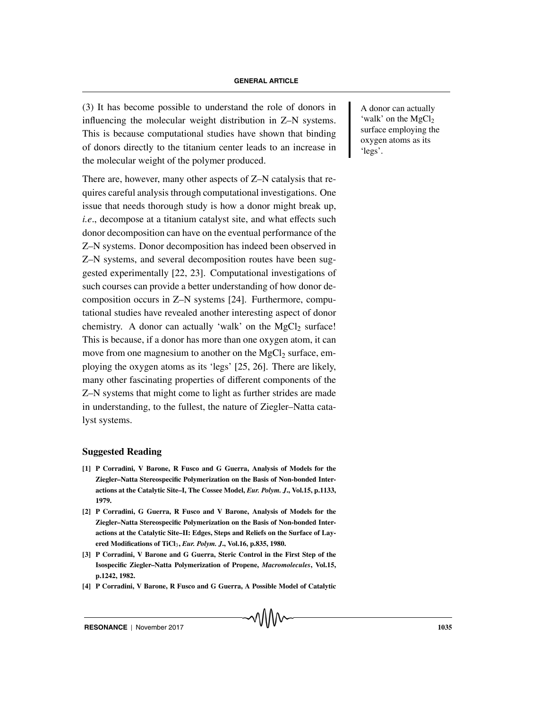$(3)$  It has become possible to understand the role of donors in A donor can actually influencing the molecular weight distribution in Z–N systems. This is because computational studies have shown that binding of donors directly to the titanium center leads to an increase in the molecular weight of the polymer produced.

There are, however, many other aspects of Z–N catalysis that requires careful analysis through computational investigations. One issue that needs thorough study is how a donor might break up, *i.e*., decompose at a titanium catalyst site, and what effects such donor decomposition can have on the eventual performance of the Z–N systems. Donor decomposition has indeed been observed in Z–N systems, and several decomposition routes have been suggested experimentally [22, 23]. Computational investigations of such courses can provide a better understanding of how donor decomposition occurs in Z–N systems [24]. Furthermore, computational studies have revealed another interesting aspect of donor chemistry. A donor can actually 'walk' on the  $MgCl<sub>2</sub>$  surface! This is because, if a donor has more than one oxygen atom, it can move from one magnesium to another on the  $MgCl<sub>2</sub>$  surface, employing the oxygen atoms as its 'legs' [25, 26]. There are likely, many other fascinating properties of different components of the Z–N systems that might come to light as further strides are made in understanding, to the fullest, the nature of Ziegler–Natta catalyst systems.

#### **Suggested Reading**

- **[1] P Corradini, V Barone, R Fusco and G Guerra, Analysis of Models for the Ziegler–Natta Stereospecific Polymerization on the Basis of Non-bonded Interactions at the Catalytic Site–I, The Cossee Model,** *Eur. Polym. J***., Vol.15, p.1133, 1979.**
- **[2] P Corradini, G Guerra, R Fusco and V Barone, Analysis of Models for the Ziegler–Natta Stereospecific Polymerization on the Basis of Non-bonded Interactions at the Catalytic Site–II: Edges, Steps and Reliefs on the Surface of Layered Modifications of TiCl**3**,** *Eur. Polym. J***., Vol.16, p.835, 1980.**
- **[3] P Corradini, V Barone and G Guerra, Steric Control in the First Step of the Isospecific Ziegler–Natta Polymerization of Propene,** *Macromolecules***, Vol.15, p.1242, 1982.**
- **[4] P Corradini, V Barone, R Fusco and G Guerra, A Possible Model of Catalytic**

'walk' on the  $MgCl<sub>2</sub>$ surface employing the oxygen atoms as its 'legs'.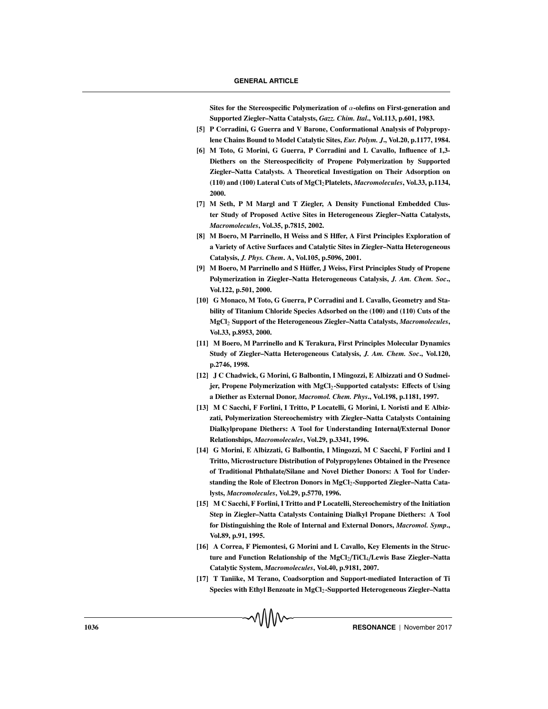**Sites for the Stereospecific Polymerization of** α**-olefins on First-generation and Supported Ziegler–Natta Catalysts,** *Gazz. Chim. Ital***., Vol.113, p.601, 1983.**

- **[5] P Corradini, G Guerra and V Barone, Conformational Analysis of Polypropylene Chains Bound to Model Catalytic Sites,** *Eur. Polym. J***., Vol.20, p.1177, 1984.**
- **[6] M Toto, G Morini, G Guerra, P Corradini and L Cavallo, Influence of 1,3- Diethers on the Stereospecificity of Propene Polymerization by Supported Ziegler–Natta Catalysts. A Theoretical Investigation on Their Adsorption on (110) and (100) Lateral Cuts of MgCl**2**Platelets,** *Macromolecules***, Vol.33, p.1134, 2000.**
- **[7] M Seth, P M Margl and T Ziegler, A Density Functional Embedded Cluster Study of Proposed Active Sites in Heterogeneous Ziegler–Natta Catalysts,** *Macromolecules***, Vol.35, p.7815, 2002.**
- [8] M Boero, M Parrinello, H Weiss and S Hffer, A First Principles Exploration of **a Variety of Active Surfaces and Catalytic Sites in Ziegler–Natta Heterogeneous Catalysis,** *J. Phys. Chem***. A, Vol.105, p.5096, 2001.**
- **[9] M Boero, M Parrinello and S Hu¨**ff**er, J Weiss, First Principles Study of Propene Polymerization in Ziegler–Natta Heterogeneous Catalysis,** *J. Am. Chem. Soc***., Vol.122, p.501, 2000.**
- **[10] G Monaco, M Toto, G Guerra, P Corradini and L Cavallo, Geometry and Stability of Titanium Chloride Species Adsorbed on the (100) and (110) Cuts of the MgCl**<sup>2</sup> **Support of the Heterogeneous Ziegler–Natta Catalysts,** *Macromolecules***, Vol.33, p.8953, 2000.**
- **[11] M Boero, M Parrinello and K Terakura, First Principles Molecular Dynamics Study of Ziegler–Natta Heterogeneous Catalysis,** *J. Am. Chem. Soc***., Vol.120, p.2746, 1998.**
- **[12] J C Chadwick, G Morini, G Balbontin, I Mingozzi, E Albizzati and O Sudmeijer, Propene Polymerization with MgCl**2**-Supported catalysts: E**ff**ects of Using a Diether as External Donor,** *Macromol. Chem. Phys***., Vol.198, p.1181, 1997.**
- **[13] M C Sacchi, F Forlini, I Tritto, P Locatelli, G Morini, L Noristi and E Albizzati, Polymerization Stereochemistry with Ziegler–Natta Catalysts Containing Dialkylpropane Diethers: A Tool for Understanding Internal**/**External Donor Relationships,** *Macromolecules***, Vol.29, p.3341, 1996.**
- **[14] G Morini, E Albizzati, G Balbontin, I Mingozzi, M C Sacchi, F Forlini and I Tritto, Microstructure Distribution of Polypropylenes Obtained in the Presence of Traditional Phthalate**/**Silane and Novel Diether Donors: A Tool for Understanding the Role of Electron Donors in MgCl**2**-Supported Ziegler–Natta Catalysts,** *Macromolecules***, Vol.29, p.5770, 1996.**
- **[15] M C Sacchi, F Forlini, I Tritto and P Locatelli, Stereochemistry of the Initiation Step in Ziegler–Natta Catalysts Containing Dialkyl Propane Diethers: A Tool for Distinguishing the Role of Internal and External Donors,** *Macromol. Symp***., Vol.89, p.91, 1995.**
- **[16] A Correa, F Piemontesi, G Morini and L Cavallo, Key Elements in the Structure and Function Relationship of the MgCl**2/**TiCl**4/**Lewis Base Ziegler–Natta Catalytic System,** *Macromolecules***, Vol.40, p.9181, 2007.**
- **[17] T Taniike, M Terano, Coadsorption and Support-mediated Interaction of Ti Species with Ethyl Benzoate in MgCl**2**-Supported Heterogeneous Ziegler–Natta**